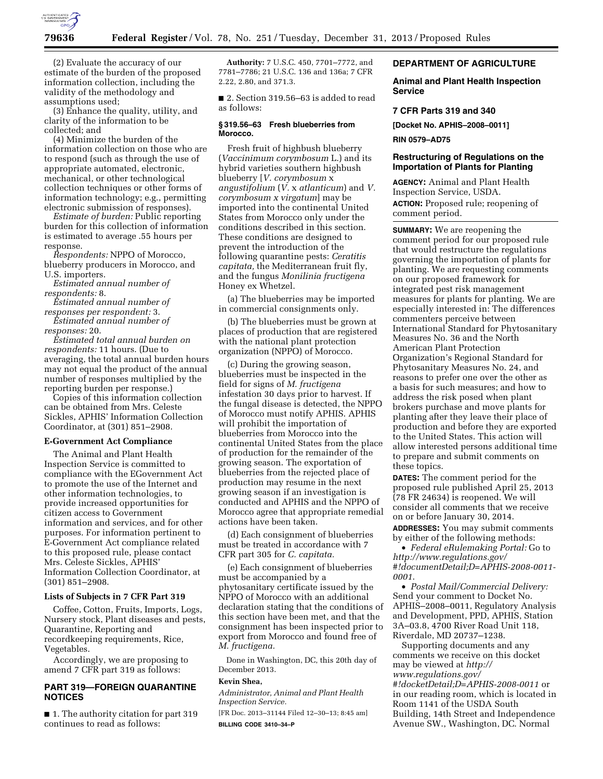

(2) Evaluate the accuracy of our estimate of the burden of the proposed information collection, including the validity of the methodology and assumptions used;

(3) Enhance the quality, utility, and clarity of the information to be collected; and

(4) Minimize the burden of the information collection on those who are to respond (such as through the use of appropriate automated, electronic, mechanical, or other technological collection techniques or other forms of information technology; e.g., permitting electronic submission of responses).

*Estimate of burden:* Public reporting burden for this collection of information is estimated to average .55 hours per response.

*Respondents:* NPPO of Morocco, blueberry producers in Morocco, and U.S. importers.

*Estimated annual number of respondents:* 8.

*Estimated annual number of responses per respondent:* 3.

*Estimated annual number of responses:* 20.

*Estimated total annual burden on respondents:* 11 hours. (Due to averaging, the total annual burden hours may not equal the product of the annual number of responses multiplied by the reporting burden per response.)

Copies of this information collection can be obtained from Mrs. Celeste Sickles, APHIS' Information Collection Coordinator, at (301) 851–2908.

### **E-Government Act Compliance**

The Animal and Plant Health Inspection Service is committed to compliance with the EGovernment Act to promote the use of the Internet and other information technologies, to provide increased opportunities for citizen access to Government information and services, and for other purposes. For information pertinent to E-Government Act compliance related to this proposed rule, please contact Mrs. Celeste Sickles, APHIS' Information Collection Coordinator, at (301) 851–2908.

#### **Lists of Subjects in 7 CFR Part 319**

Coffee, Cotton, Fruits, Imports, Logs, Nursery stock, Plant diseases and pests, Quarantine, Reporting and recordkeeping requirements, Rice, Vegetables.

Accordingly, we are proposing to amend 7 CFR part 319 as follows:

## **PART 319—FOREIGN QUARANTINE NOTICES**

■ 1. The authority citation for part 319 continues to read as follows:

**Authority:** 7 U.S.C. 450, 7701–7772, and 7781–7786; 21 U.S.C. 136 and 136a; 7 CFR 2.22, 2.80, and 371.3.

■ 2. Section 319.56–63 is added to read as follows:

### **§ 319.56–63 Fresh blueberries from Morocco.**

Fresh fruit of highbush blueberry (*Vaccinimum corymbosum* L.) and its hybrid varieties southern highbush blueberry [*V. corymbosum* x *angustifolium* (*V.* x *atlanticum*) and *V. corymbosum x virgatum*] may be imported into the continental United States from Morocco only under the conditions described in this section. These conditions are designed to prevent the introduction of the following quarantine pests: *Ceratitis capitata,* the Mediterranean fruit fly, and the fungus *Monilinia fructigena*  Honey ex Whetzel.

(a) The blueberries may be imported in commercial consignments only.

(b) The blueberries must be grown at places of production that are registered with the national plant protection organization (NPPO) of Morocco.

(c) During the growing season, blueberries must be inspected in the field for signs of *M. fructigena*  infestation 30 days prior to harvest. If the fungal disease is detected, the NPPO of Morocco must notify APHIS. APHIS will prohibit the importation of blueberries from Morocco into the continental United States from the place of production for the remainder of the growing season. The exportation of blueberries from the rejected place of production may resume in the next growing season if an investigation is conducted and APHIS and the NPPO of Morocco agree that appropriate remedial actions have been taken.

(d) Each consignment of blueberries must be treated in accordance with 7 CFR part 305 for *C. capitata.* 

(e) Each consignment of blueberries must be accompanied by a phytosanitary certificate issued by the NPPO of Morocco with an additional declaration stating that the conditions of this section have been met, and that the consignment has been inspected prior to export from Morocco and found free of *M. fructigena.* 

Done in Washington, DC, this 20th day of December 2013.

### **Kevin Shea,**

*Administrator, Animal and Plant Health Inspection Service.* 

[FR Doc. 2013–31144 Filed 12–30–13; 8:45 am] **BILLING CODE 3410–34–P** 

### **DEPARTMENT OF AGRICULTURE**

**Animal and Plant Health Inspection Service** 

## **7 CFR Parts 319 and 340**

**[Docket No. APHIS–2008–0011]** 

**RIN 0579–AD75** 

## **Restructuring of Regulations on the Importation of Plants for Planting**

**AGENCY:** Animal and Plant Health Inspection Service, USDA. **ACTION:** Proposed rule; reopening of comment period.

**SUMMARY:** We are reopening the comment period for our proposed rule that would restructure the regulations governing the importation of plants for planting. We are requesting comments on our proposed framework for integrated pest risk management measures for plants for planting. We are especially interested in: The differences commenters perceive between International Standard for Phytosanitary Measures No. 36 and the North American Plant Protection Organization's Regional Standard for Phytosanitary Measures No. 24, and reasons to prefer one over the other as a basis for such measures; and how to address the risk posed when plant brokers purchase and move plants for planting after they leave their place of production and before they are exported to the United States. This action will allow interested persons additional time to prepare and submit comments on these topics.

**DATES:** The comment period for the proposed rule published April 25, 2013 (78 FR 24634) is reopened. We will consider all comments that we receive on or before January 30, 2014.

**ADDRESSES:** You may submit comments by either of the following methods:

• *Federal eRulemaking Portal:* Go to *[http://www.regulations.gov/](http://www.regulations.gov/#!documentDetail;D=APHIS-2008-0011-0001) [#!documentDetail;D=APHIS-2008-0011-](http://www.regulations.gov/#!documentDetail;D=APHIS-2008-0011-0001) [0001](http://www.regulations.gov/#!documentDetail;D=APHIS-2008-0011-0001)*.

• *Postal Mail/Commercial Delivery:*  Send your comment to Docket No. APHIS–2008–0011, Regulatory Analysis and Development, PPD, APHIS, Station 3A–03.8, 4700 River Road Unit 118, Riverdale, MD 20737–1238.

Supporting documents and any comments we receive on this docket may be viewed at *[http://](http://www.regulations.gov/#!docketDetail;D=APHIS-2008-0011) [www.regulations.gov/](http://www.regulations.gov/#!docketDetail;D=APHIS-2008-0011) [#!docketDetail;D=APHIS-2008-0011](http://www.regulations.gov/#!docketDetail;D=APHIS-2008-0011)* or in our reading room, which is located in Room 1141 of the USDA South Building, 14th Street and Independence Avenue SW., Washington, DC. Normal